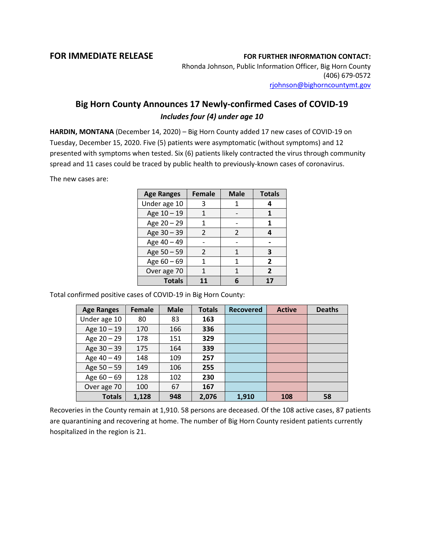## **FOR IMMEDIATE RELEASE FOR FURTHER INFORMATION CONTACT:**

Rhonda Johnson, Public Information Officer, Big Horn County (406) 679-0572 [rjohnson@bighorncountymt.gov](mailto:rjohnson@bighorncountymt.gov)

## **Big Horn County Announces 17 Newly-confirmed Cases of COVID-19** *Includes four (4) under age 10*

**HARDIN, MONTANA** (December 14, 2020) – Big Horn County added 17 new cases of COVID-19 on Tuesday, December 15, 2020. Five (5) patients were asymptomatic (without symptoms) and 12 presented with symptoms when tested. Six (6) patients likely contracted the virus through community spread and 11 cases could be traced by public health to previously-known cases of coronavirus.

The new cases are:

| <b>Age Ranges</b> | <b>Female</b> | <b>Male</b>   | <b>Totals</b> |
|-------------------|---------------|---------------|---------------|
| Under age 10      | 3             |               |               |
| Age 10 - 19       |               |               |               |
| Age 20 - 29       |               |               | 1             |
| Age 30 - 39       | $\mathcal{P}$ | $\mathcal{P}$ | Δ             |
| Age 40 - 49       |               |               |               |
| Age 50 - 59       | $\mathcal{L}$ | 1             | З             |
| Age 60 - 69       |               | 1             | 2             |
| Over age 70       |               |               | 2             |
| <b>Totals</b>     |               |               |               |

Total confirmed positive cases of COVID-19 in Big Horn County:

| <b>Age Ranges</b> | Female | <b>Male</b> | <b>Totals</b> | <b>Recovered</b> | <b>Active</b> | <b>Deaths</b> |
|-------------------|--------|-------------|---------------|------------------|---------------|---------------|
| Under age 10      | 80     | 83          | 163           |                  |               |               |
| Age 10 - 19       | 170    | 166         | 336           |                  |               |               |
| Age 20 - 29       | 178    | 151         | 329           |                  |               |               |
| Age $30 - 39$     | 175    | 164         | 339           |                  |               |               |
| Age 40 - 49       | 148    | 109         | 257           |                  |               |               |
| Age $50 - 59$     | 149    | 106         | 255           |                  |               |               |
| Age $60 - 69$     | 128    | 102         | 230           |                  |               |               |
| Over age 70       | 100    | 67          | 167           |                  |               |               |
| <b>Totals</b>     | 1,128  | 948         | 2,076         | 1,910            | 108           | 58            |

Recoveries in the County remain at 1,910. 58 persons are deceased. Of the 108 active cases, 87 patients are quarantining and recovering at home. The number of Big Horn County resident patients currently hospitalized in the region is 21.